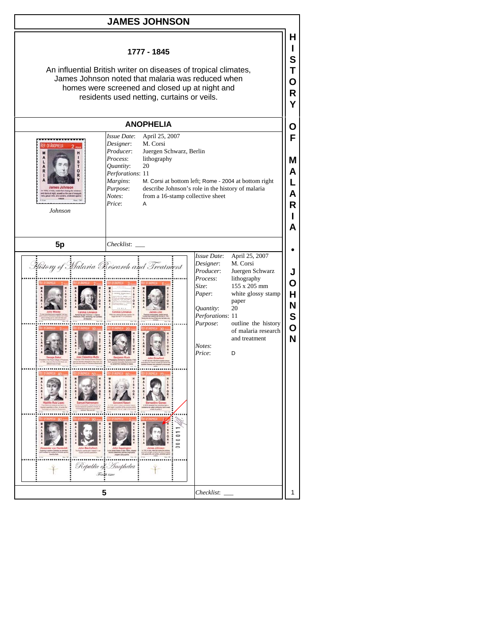